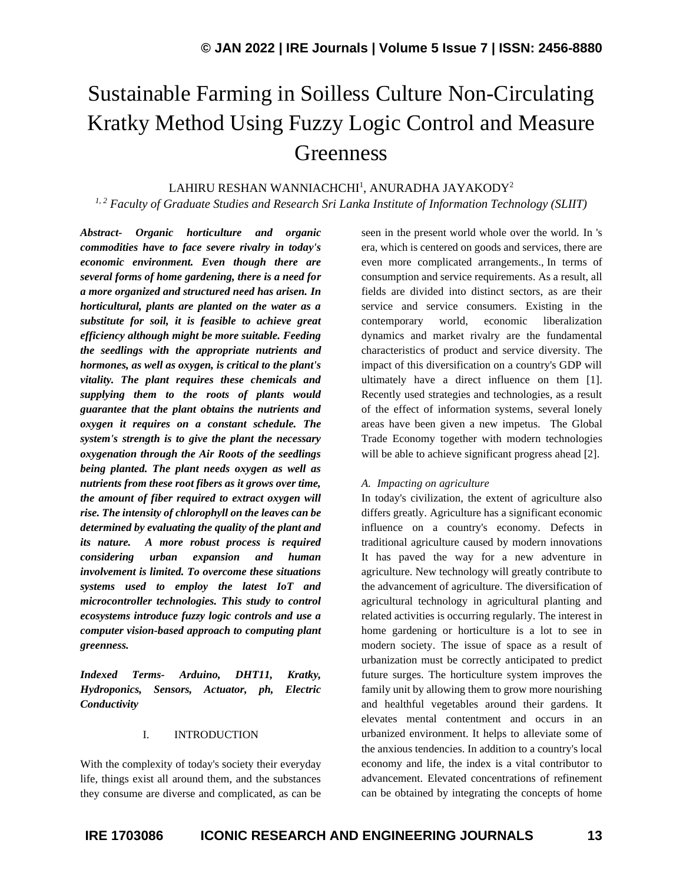# Sustainable Farming in Soilless Culture Non-Circulating Kratky Method Using Fuzzy Logic Control and Measure **Greenness**

 $\rm LAHIRU\,RESHAN\,WANNIACHCHI^{1}, ANURADHA\,JAYAKODY^{2}$ *1, 2 Faculty of Graduate Studies and Research Sri Lanka Institute of Information Technology (SLIIT)*

*Abstract- Organic horticulture and organic commodities have to face severe rivalry in today's economic environment. Even though there are several forms of home gardening, there is a need for a more organized and structured need has arisen. In horticultural, plants are planted on the water as a substitute for soil, it is feasible to achieve great efficiency although might be more suitable. Feeding the seedlings with the appropriate nutrients and hormones, as well as oxygen, is critical to the plant's vitality. The plant requires these chemicals and supplying them to the roots of plants would guarantee that the plant obtains the nutrients and oxygen it requires on a constant schedule. The system's strength is to give the plant the necessary oxygenation through the Air Roots of the seedlings being planted. The plant needs oxygen as well as nutrients from these root fibers as it grows over time, the amount of fiber required to extract oxygen will rise. The intensity of chlorophyll on the leaves can be determined by evaluating the quality of the plant and its nature. A more robust process is required considering urban expansion and human involvement is limited. To overcome these situations systems used to employ the latest IoT and microcontroller technologies. This study to control ecosystems introduce fuzzy logic controls and use a computer vision-based approach to computing plant greenness.*

*Indexed Terms- Arduino, DHT11, Kratky, Hydroponics, Sensors, Actuator, ph, Electric Conductivity*

## I. INTRODUCTION

With the complexity of today's society their everyday life, things exist all around them, and the substances they consume are diverse and complicated, as can be seen in the present world whole over the world. In 's era, which is centered on goods and services, there are even more complicated arrangements., In terms of consumption and service requirements. As a result, all fields are divided into distinct sectors, as are their service and service consumers. Existing in the contemporary world, economic liberalization dynamics and market rivalry are the fundamental characteristics of product and service diversity. The impact of this diversification on a country's GDP will ultimately have a direct influence on them [1]. Recently used strategies and technologies, as a result of the effect of information systems, several lonely areas have been given a new impetus. The Global Trade Economy together with modern technologies will be able to achieve significant progress ahead [2].

#### *A. Impacting on agriculture*

In today's civilization, the extent of agriculture also differs greatly. Agriculture has a significant economic influence on a country's economy. Defects in traditional agriculture caused by modern innovations It has paved the way for a new adventure in agriculture. New technology will greatly contribute to the advancement of agriculture. The diversification of agricultural technology in agricultural planting and related activities is occurring regularly. The interest in home gardening or horticulture is a lot to see in modern society. The issue of space as a result of urbanization must be correctly anticipated to predict future surges. The horticulture system improves the family unit by allowing them to grow more nourishing and healthful vegetables around their gardens. It elevates mental contentment and occurs in an urbanized environment. It helps to alleviate some of the anxious tendencies. In addition to a country's local economy and life, the index is a vital contributor to advancement. Elevated concentrations of refinement can be obtained by integrating the concepts of home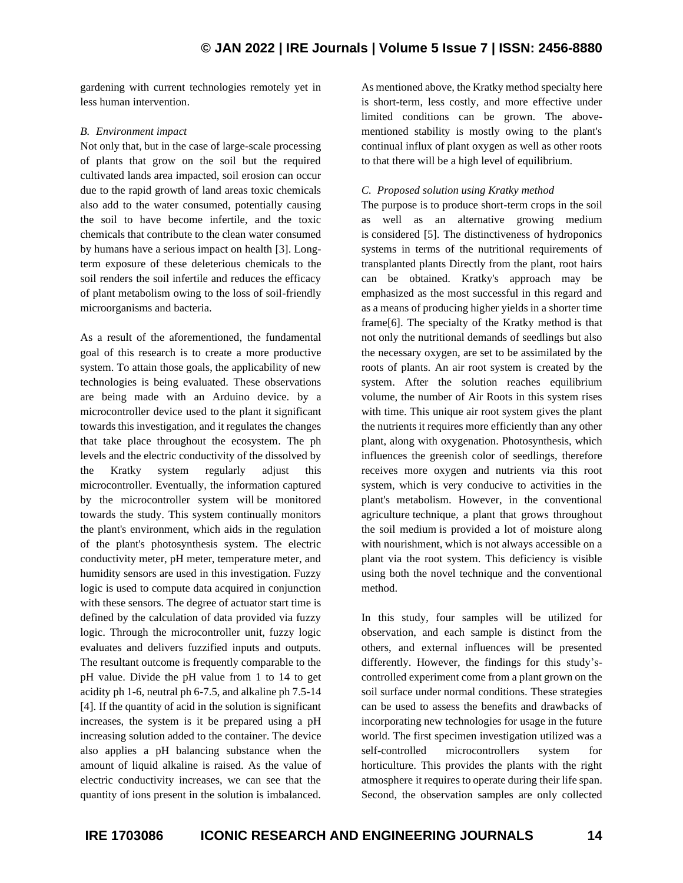gardening with current technologies remotely yet in less human intervention.

# *B. Environment impact*

Not only that, but in the case of large-scale processing of plants that grow on the soil but the required cultivated lands area impacted, soil erosion can occur due to the rapid growth of land areas toxic chemicals also add to the water consumed, potentially causing the soil to have become infertile, and the toxic chemicals that contribute to the clean water consumed by humans have a serious impact on health [3]. Longterm exposure of these deleterious chemicals to the soil renders the soil infertile and reduces the efficacy of plant metabolism owing to the loss of soil-friendly microorganisms and bacteria.

As a result of the aforementioned, the fundamental goal of this research is to create a more productive system. To attain those goals, the applicability of new technologies is being evaluated. These observations are being made with an Arduino device. by a microcontroller device used to the plant it significant towards this investigation, and it regulates the changes that take place throughout the ecosystem. The ph levels and the electric conductivity of the dissolved by the Kratky system regularly adjust this microcontroller. Eventually, the information captured by the microcontroller system will be monitored towards the study. This system continually monitors the plant's environment, which aids in the regulation of the plant's photosynthesis system. The electric conductivity meter, pH meter, temperature meter, and humidity sensors are used in this investigation. Fuzzy logic is used to compute data acquired in conjunction with these sensors. The degree of actuator start time is defined by the calculation of data provided via fuzzy logic. Through the microcontroller unit, fuzzy logic evaluates and delivers fuzzified inputs and outputs. The resultant outcome is frequently comparable to the pH value. Divide the pH value from 1 to 14 to get acidity ph 1-6, neutral ph 6-7.5, and alkaline ph 7.5-14 [4]. If the quantity of acid in the solution is significant increases, the system is it be prepared using a pH increasing solution added to the container. The device also applies a pH balancing substance when the amount of liquid alkaline is raised. As the value of electric conductivity increases, we can see that the quantity of ions present in the solution is imbalanced. As mentioned above, the Kratky method specialty here is short-term, less costly, and more effective under limited conditions can be grown. The abovementioned stability is mostly owing to the plant's continual influx of plant oxygen as well as other roots to that there will be a high level of equilibrium.

# *C. Proposed solution using Kratky method*

The purpose is to produce short-term crops in the soil as well as an alternative growing medium is considered [5]. The distinctiveness of hydroponics systems in terms of the nutritional requirements of transplanted plants Directly from the plant, root hairs can be obtained. Kratky's approach may be emphasized as the most successful in this regard and as a means of producing higher yields in a shorter time frame[6]. The specialty of the Kratky method is that not only the nutritional demands of seedlings but also the necessary oxygen, are set to be assimilated by the roots of plants. An air root system is created by the system. After the solution reaches equilibrium volume, the number of Air Roots in this system rises with time. This unique air root system gives the plant the nutrients it requires more efficiently than any other plant, along with oxygenation. Photosynthesis, which influences the greenish color of seedlings, therefore receives more oxygen and nutrients via this root system, which is very conducive to activities in the plant's metabolism. However, in the conventional agriculture technique, a plant that grows throughout the soil medium is provided a lot of moisture along with nourishment, which is not always accessible on a plant via the root system. This deficiency is visible using both the novel technique and the conventional method.

In this study, four samples will be utilized for observation, and each sample is distinct from the others, and external influences will be presented differently. However, the findings for this study'scontrolled experiment come from a plant grown on the soil surface under normal conditions. These strategies can be used to assess the benefits and drawbacks of incorporating new technologies for usage in the future world. The first specimen investigation utilized was a self-controlled microcontrollers system for horticulture. This provides the plants with the right atmosphere it requires to operate during their life span. Second, the observation samples are only collected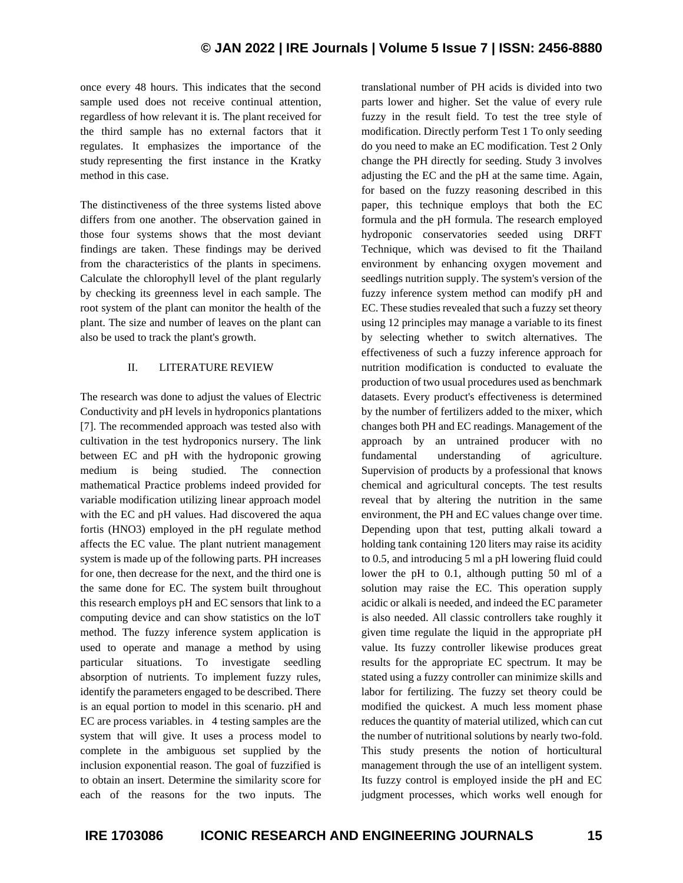once every 48 hours. This indicates that the second sample used does not receive continual attention, regardless of how relevant it is. The plant received for the third sample has no external factors that it regulates. It emphasizes the importance of the study representing the first instance in the Kratky method in this case.

The distinctiveness of the three systems listed above differs from one another. The observation gained in those four systems shows that the most deviant findings are taken. These findings may be derived from the characteristics of the plants in specimens. Calculate the chlorophyll level of the plant regularly by checking its greenness level in each sample. The root system of the plant can monitor the health of the plant. The size and number of leaves on the plant can also be used to track the plant's growth.

# II. LITERATURE REVIEW

The research was done to adjust the values of Electric Conductivity and pH levels in hydroponics plantations [7]. The recommended approach was tested also with cultivation in the test hydroponics nursery. The link between EC and pH with the hydroponic growing medium is being studied. The connection mathematical Practice problems indeed provided for variable modification utilizing linear approach model with the EC and pH values. Had discovered the aqua fortis (HNO3) employed in the pH regulate method affects the EC value. The plant nutrient management system is made up of the following parts. PH increases for one, then decrease for the next, and the third one is the same done for EC. The system built throughout this research employs pH and EC sensors that link to a computing device and can show statistics on the loT method. The fuzzy inference system application is used to operate and manage a method by using particular situations. To investigate seedling absorption of nutrients. To implement fuzzy rules, identify the parameters engaged to be described. There is an equal portion to model in this scenario. pH and EC are process variables. in 4 testing samples are the system that will give. It uses a process model to complete in the ambiguous set supplied by the inclusion exponential reason. The goal of fuzzified is to obtain an insert. Determine the similarity score for each of the reasons for the two inputs. The

translational number of PH acids is divided into two parts lower and higher. Set the value of every rule fuzzy in the result field. To test the tree style of modification. Directly perform Test 1 To only seeding do you need to make an EC modification. Test 2 Only change the PH directly for seeding. Study 3 involves adjusting the EC and the pH at the same time. Again, for based on the fuzzy reasoning described in this paper, this technique employs that both the EC formula and the pH formula. The research employed hydroponic conservatories seeded using DRFT Technique, which was devised to fit the Thailand environment by enhancing oxygen movement and seedlings nutrition supply. The system's version of the fuzzy inference system method can modify pH and EC. These studies revealed that such a fuzzy set theory using 12 principles may manage a variable to its finest by selecting whether to switch alternatives. The effectiveness of such a fuzzy inference approach for nutrition modification is conducted to evaluate the production of two usual procedures used as benchmark datasets. Every product's effectiveness is determined by the number of fertilizers added to the mixer, which changes both PH and EC readings. Management of the approach by an untrained producer with no fundamental understanding of agriculture. Supervision of products by a professional that knows chemical and agricultural concepts. The test results reveal that by altering the nutrition in the same environment, the PH and EC values change over time. Depending upon that test, putting alkali toward a holding tank containing 120 liters may raise its acidity to 0.5, and introducing 5 ml a pH lowering fluid could lower the pH to 0.1, although putting 50 ml of a solution may raise the EC. This operation supply acidic or alkali is needed, and indeed the EC parameter is also needed. All classic controllers take roughly it given time regulate the liquid in the appropriate pH value. Its fuzzy controller likewise produces great results for the appropriate EC spectrum. It may be stated using a fuzzy controller can minimize skills and labor for fertilizing. The fuzzy set theory could be modified the quickest. A much less moment phase reduces the quantity of material utilized, which can cut the number of nutritional solutions by nearly two-fold. This study presents the notion of horticultural management through the use of an intelligent system. Its fuzzy control is employed inside the pH and EC judgment processes, which works well enough for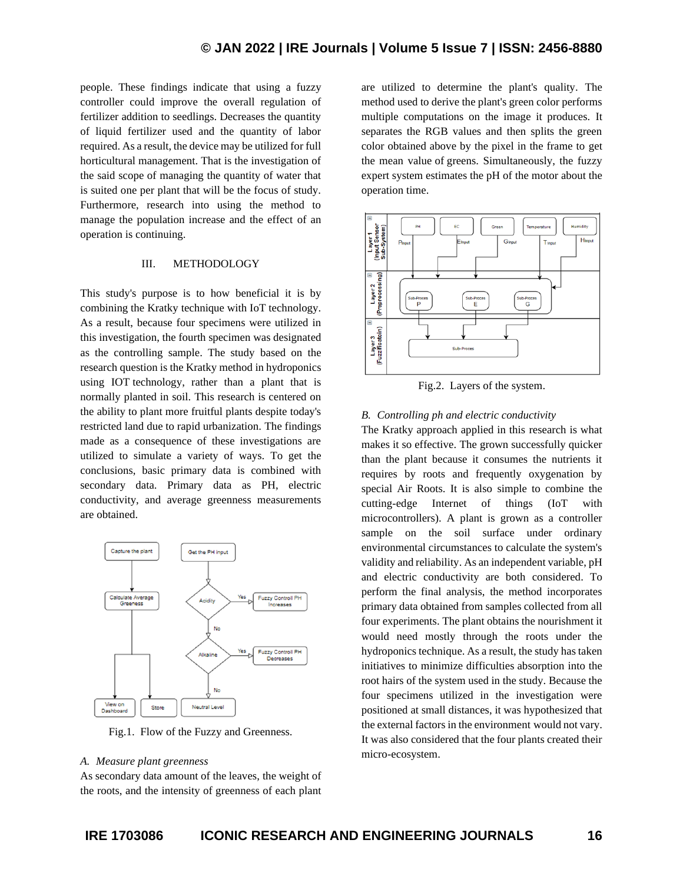people. These findings indicate that using a fuzzy controller could improve the overall regulation of fertilizer addition to seedlings. Decreases the quantity of liquid fertilizer used and the quantity of labor required. As a result, the device may be utilized for full horticultural management. That is the investigation of the said scope of managing the quantity of water that is suited one per plant that will be the focus of study. Furthermore, research into using the method to manage the population increase and the effect of an operation is continuing.

# III. METHODOLOGY

This study's purpose is to how beneficial it is by combining the Kratky technique with IoT technology. As a result, because four specimens were utilized in this investigation, the fourth specimen was designated as the controlling sample. The study based on the research question is the Kratky method in hydroponics using IOT technology, rather than a plant that is normally planted in soil. This research is centered on the ability to plant more fruitful plants despite today's restricted land due to rapid urbanization. The findings made as a consequence of these investigations are utilized to simulate a variety of ways. To get the conclusions, basic primary data is combined with secondary data. Primary data as PH, electric conductivity, and average greenness measurements are obtained.



Fig.1. Flow of the Fuzzy and Greenness.

#### *A. Measure plant greenness*

As secondary data amount of the leaves, the weight of the roots, and the intensity of greenness of each plant are utilized to determine the plant's quality. The method used to derive the plant's green color performs multiple computations on the image it produces. It separates the RGB values and then splits the green color obtained above by the pixel in the frame to get the mean value of greens. Simultaneously, the fuzzy expert system estimates the pH of the motor about the operation time.



Fig.2. Layers of the system.

# *B. Controlling ph and electric conductivity*

The Kratky approach applied in this research is what makes it so effective. The grown successfully quicker than the plant because it consumes the nutrients it requires by roots and frequently oxygenation by special Air Roots. It is also simple to combine the cutting-edge Internet of things (IoT with microcontrollers). A plant is grown as a controller sample on the soil surface under ordinary environmental circumstances to calculate the system's validity and reliability. As an independent variable, pH and electric conductivity are both considered. To perform the final analysis, the method incorporates primary data obtained from samples collected from all four experiments. The plant obtains the nourishment it would need mostly through the roots under the hydroponics technique. As a result, the study has taken initiatives to minimize difficulties absorption into the root hairs of the system used in the study. Because the four specimens utilized in the investigation were positioned at small distances, it was hypothesized that the external factors in the environment would not vary. It was also considered that the four plants created their micro-ecosystem.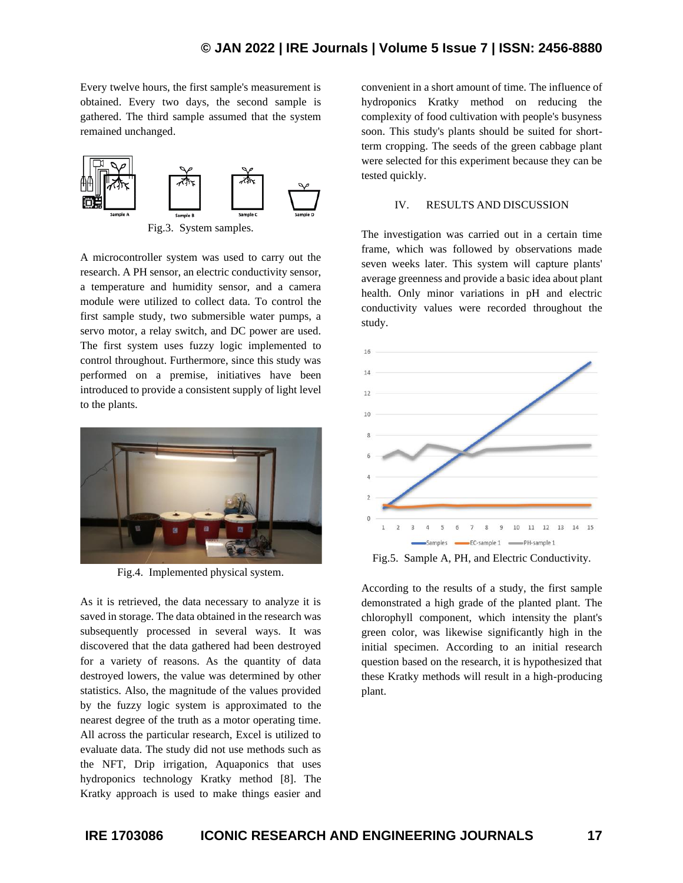Every twelve hours, the first sample's measurement is obtained. Every two days, the second sample is gathered. The third sample assumed that the system remained unchanged.



A microcontroller system was used to carry out the research. A PH sensor, an electric conductivity sensor, a temperature and humidity sensor, and a camera module were utilized to collect data. To control the first sample study, two submersible water pumps, a servo motor, a relay switch, and DC power are used. The first system uses fuzzy logic implemented to control throughout. Furthermore, since this study was performed on a premise, initiatives have been introduced to provide a consistent supply of light level to the plants.



Fig.4. Implemented physical system.

As it is retrieved, the data necessary to analyze it is saved in storage. The data obtained in the research was subsequently processed in several ways. It was discovered that the data gathered had been destroyed for a variety of reasons. As the quantity of data destroyed lowers, the value was determined by other statistics. Also, the magnitude of the values provided by the fuzzy logic system is approximated to the nearest degree of the truth as a motor operating time. All across the particular research, Excel is utilized to evaluate data. The study did not use methods such as the NFT, Drip irrigation, Aquaponics that uses hydroponics technology Kratky method [8]. The Kratky approach is used to make things easier and

convenient in a short amount of time. The influence of hydroponics Kratky method on reducing the complexity of food cultivation with people's busyness soon. This study's plants should be suited for shortterm cropping. The seeds of the green cabbage plant were selected for this experiment because they can be tested quickly.

#### IV. RESULTS AND DISCUSSION

The investigation was carried out in a certain time frame, which was followed by observations made seven weeks later. This system will capture plants' average greenness and provide a basic idea about plant health. Only minor variations in pH and electric conductivity values were recorded throughout the study.



Fig.5. Sample A, PH, and Electric Conductivity.

According to the results of a study, the first sample demonstrated a high grade of the planted plant. The chlorophyll component, which intensity the plant's green color, was likewise significantly high in the initial specimen. According to an initial research question based on the research, it is hypothesized that these Kratky methods will result in a high-producing plant.